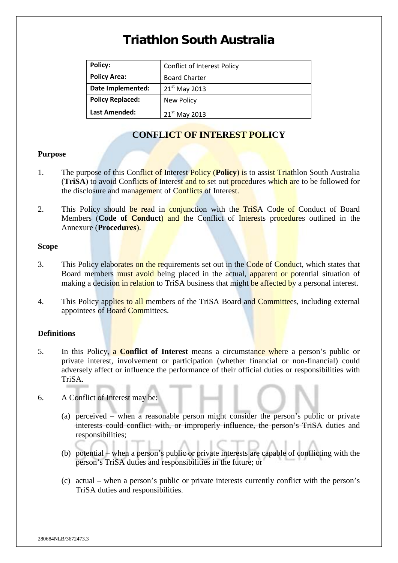| <b>Policy:</b>          | <b>Conflict of Interest Policy</b> |
|-------------------------|------------------------------------|
| <b>Policy Area:</b>     | <b>Board Charter</b>               |
| Date Implemented:       | $21st$ May 2013                    |
| <b>Policy Replaced:</b> | New Policy                         |
| <b>Last Amended:</b>    | $21st$ May 2013                    |

### **CONFLICT OF INTEREST POLICY**

#### **Purpose**

- 1. The purpose of this Conflict of Interest Policy (**Policy**) is to assist Triathlon South Australia (**TriSA**) to avoid Conflicts of Interest and to set out procedures which are to be followed for the disclosure and management of Conflicts of Interest.
- 2. This Policy should be read in conjunction with the TriSA Code of Conduct of Board Members (**Code of Conduct**) and the Conflict of Interests procedures outlined in the Annexure (**Procedures**).

#### **Scope**

- 3. This Policy elaborates on the requirements set out in the Code of Conduct, which states that Board members must avoid being placed in the actual, apparent or potential situation of making a decision in relation to TriSA business that might be affected by a personal interest.
- 4. This Policy applies to all members of the TriSA Board and Committees, including external appointees of Board Committees.

#### **Definitions**

- 5. In this Policy, a **Conflict of Interest** means a circumstance where a person's public or private interest, involvement or participation (whether financial or non-financial) could adversely affect or influence the performance of their official duties or responsibilities with TriSA.
- 6. A Conflict of Interest may be:
	- (a) perceived when a reasonable person might consider the person's public or private interests could conflict with, or improperly influence, the person's TriSA duties and responsibilities;
	- (b) potential when a person's public or private interests are capable of conflicting with the person's TriSA duties and responsibilities in the future; or
	- (c) actual when a person's public or private interests currently conflict with the person's TriSA duties and responsibilities.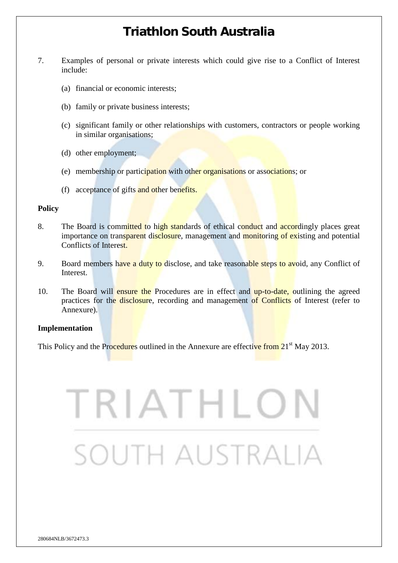- 7. Examples of personal or private interests which could give rise to a Conflict of Interest include:
	- (a) financial or economic interests;
	- (b) family or private business interests;
	- (c) significant family or other relationships with customers, contractors or people working in similar organisations;
	- (d) other employment;
	- (e) membership or participation with other organisations or associations; or
	- (f) acceptance of gifts and other benefits.

#### **Policy**

- 8. The Board is committed to high standards of ethical conduct and accordingly places great importance on transparent disclosure, management and monitoring of existing and potential Conflicts of Interest.
- 9. Board members have a duty to disclose, and take reasonable steps to avoid, any Conflict of Interest.
- 10. The Board will ensure the Procedures are in effect and up-to-date, outlining the agreed practices for the disclosure, recording and management of Conflicts of Interest (refer to Annexure).

#### **Implementation**

This Policy and the Procedures outlined in the Annexure are effective from 21<sup>st</sup> May 2013.

# TRIATHLO south australia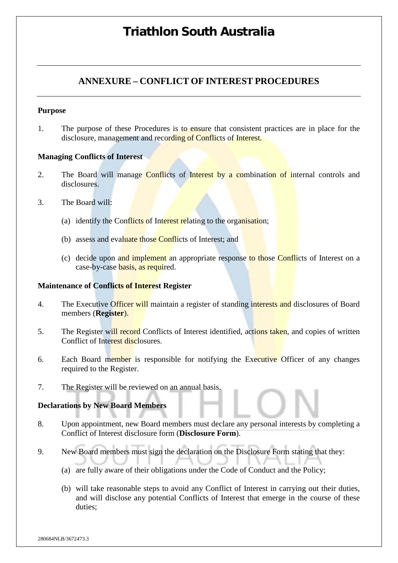## **ANNEXURE – CONFLICT OF INTEREST PROCEDURES**

#### **Purpose**

1. The purpose of these Procedures is to ensure that consistent practices are in place for the disclosure, management and recording of Conflicts of Interest.

#### **Managing Conflicts of Interest**

- 2. The Board will manage Conflicts of Interest by a combination of internal controls and disclosures.
- 3. The Board will:
	- (a) identify the Conflicts of Interest relating to the organisation;
	- (b) assess and evaluate those Conflicts of Interest; and
	- (c) decide upon and implement an appropriate response to those Conflicts of Interest on a case-by-case basis, as required.

#### **Maintenance of Conflicts of Interest Register**

- 4. The Executive Officer will maintain a register of standing interests and disclosures of Board members (**Register**).
- 5. The Register will record Conflicts of Interest identified, actions taken, and copies of written Conflict of Interest disclosures.
- 6. Each Board member is responsible for notifying the Executive Officer of any changes required to the Register.
- 7. The Register will be reviewed on an annual basis.

#### **Declarations by New Board Members**

- 8. Upon appointment, new Board members must declare any personal interests by completing a Conflict of Interest disclosure form (**Disclosure Form**).
- 9. New Board members must sign the declaration on the Disclosure Form stating that they:
	- (a) are fully aware of their obligations under the Code of Conduct and the Policy;
	- (b) will take reasonable steps to avoid any Conflict of Interest in carrying out their duties, and will disclose any potential Conflicts of Interest that emerge in the course of these duties;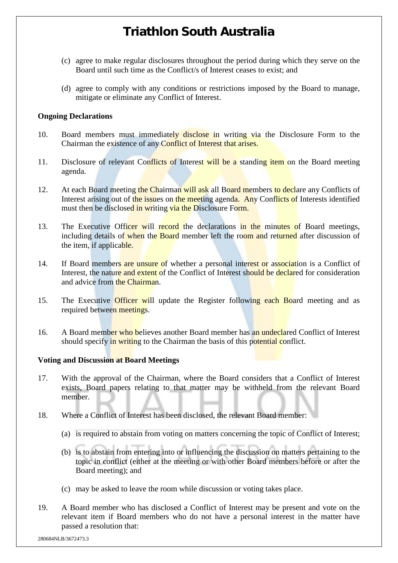- (c) agree to make regular disclosures throughout the period during which they serve on the Board until such time as the Conflict/s of Interest ceases to exist; and
- (d) agree to comply with any conditions or restrictions imposed by the Board to manage, mitigate or eliminate any Conflict of Interest.

#### **Ongoing Declarations**

- 10. Board members must immediately disclose in writing via the Disclosure Form to the Chairman the existence of any Conflict of Interest that arises.
- 11. Disclosure of relevant Conflicts of Interest will be a standing item on the Board meeting agenda.
- 12. At each Board meeting the Chairman will ask all Board members to declare any Conflicts of Interest arising out of the issues on the meeting agenda. Any Conflicts of Interests identified must then be disclosed in writing via the Disclosure Form.
- 13. The Executive Officer will record the declarations in the minutes of Board meetings, including details of when the Board member left the room and returned after discussion of the item, if applicable.
- 14. If Board members are unsure of whether a personal interest or association is a Conflict of Interest, the nature and extent of the Conflict of Interest should be declared for consideration and advice from the Chairman.
- 15. The Executive Officer will update the Register following each Board meeting and as required between meetings.
- 16. A Board member who believes another Board member has an undeclared Conflict of Interest should specify in writing to the Chairman the basis of this potential conflict.

#### **Voting and Discussion at Board Meetings**

- 17. With the approval of the Chairman, where the Board considers that a Conflict of Interest exists, Board papers relating to that matter may be withheld from the relevant Board member.
- 18. Where a Conflict of Interest has been disclosed, the relevant Board member:
	- (a) is required to abstain from voting on matters concerning the topic of Conflict of Interest;
	- (b) is to abstain from entering into or influencing the discussion on matters pertaining to the topic in conflict (either at the meeting or with other Board members before or after the Board meeting); and
	- (c) may be asked to leave the room while discussion or voting takes place.
- 19. A Board member who has disclosed a Conflict of Interest may be present and vote on the relevant item if Board members who do not have a personal interest in the matter have passed a resolution that: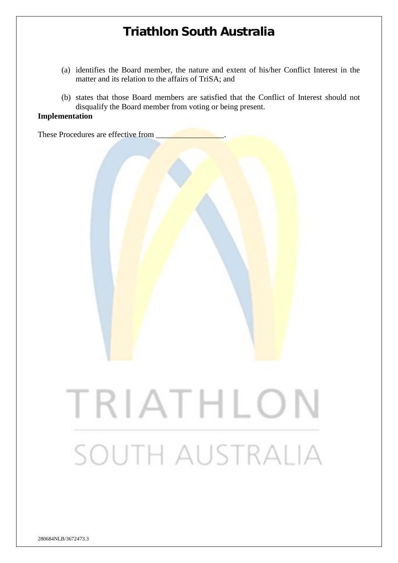- (a) identifies the Board member, the nature and extent of his/her Conflict Interest in the matter and its relation to the affairs of TriSA; and
- (b) states that those Board members are satisfied that the Conflict of Interest should not disqualify the Board member from voting or being present.

#### **Implementation**

These Procedures are effective from TRIATHLON SOUTH AUSTRALIA